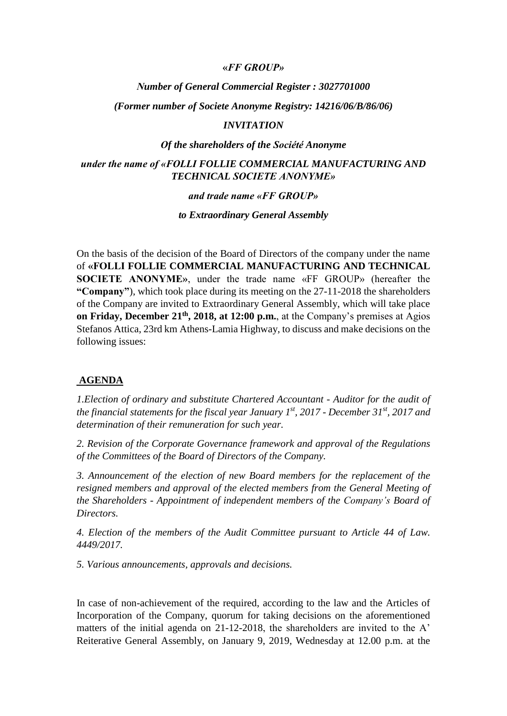#### **«***FF GROUP»*

### *Νumber of General Commercial Register : 3027701000*

*(Former number οf Societe Anonyme Registry: 14216/06/B/86/06)*

#### *INVITATION*

### *Οf the shareholders of the Société Anonyme*

## *under the name of «FOLLI FOLLIE COMMERCIAL MANUFACTURING AND TECHNICAL SOCIETE ANONYME»*

#### *and trade name «FF GROUP»*

*to Extraordinary General Assembly*

On the basis of the decision of the Board of Directors of the company under the name of **«FOLLI FOLLIE COMMERCIAL MANUFACTURING AND TECHNICAL SOCIETE ANONYME»**, under the trade name «FF GROUP» (hereafter the **"Company"**), which took place during its meeting on the 27-11-2018 the shareholders of the Company are invited to Extraordinary General Assembly, which will take place **on Friday, December 21<sup>th</sup>, 2018, at 12:00 p.m.**, at the Company's premises at Agios Stefanos Attica, 23rd km Athens-Lamia Highway, to discuss and make decisions on the following issues:

### **AGENDA**

*1.Election of ordinary and substitute Chartered Accountant - Auditor for the audit of the financial statements for the fiscal year January 1st, 2017 - December 31st, 2017 and determination of their remuneration for such year.*

*2. Revision of the Corporate Governance framework and approval of the Regulations of the Committees of the Board of Directors of the Company.*

*3. Announcement of the election of new Board members for the replacement of the resigned members and approval of the elected members from the General Meeting of the Shareholders - Appointment of independent members of the Company's Board of Directors.*

*4. Election of the members of the Audit Committee pursuant to Article 44 of Law. 4449/2017.*

*5. Various announcements, approvals and decisions.*

In case of non-achievement οf the required, according to the law and the Articles of Incorporation of the Company, quorum for taking decisions on the aforementioned matters of the initial agenda on  $21-12-2018$ , the shareholders are invited to the A' Reiterative General Assembly, on January 9, 2019, Wednesday at 12.00 p.m. at the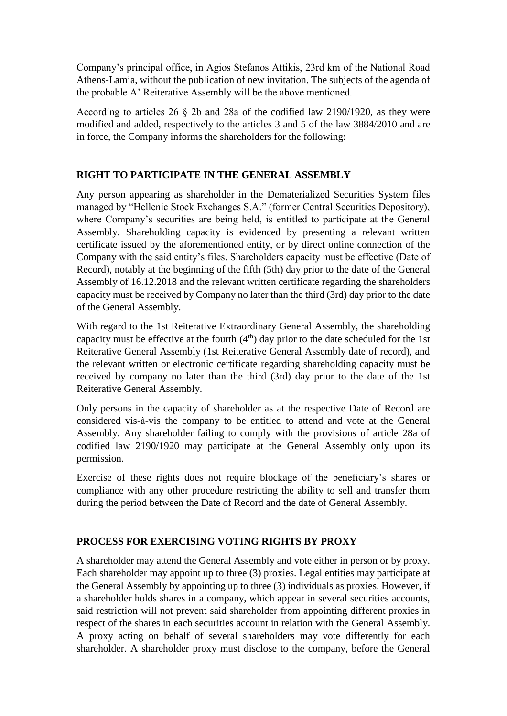Company's principal office, in Agios Stefanos Attikis, 23rd km of the National Road Athens-Lamia, without the publication of new invitation. The subjects of the agenda of the probable A' Reiterative Assembly will be the above mentioned.

According to articles 26 § 2b and 28a οf the codified law 2190/1920, as they were modified and added, respectively to the articles 3 and 5 of the law 3884/2010 and are in force, the Company informs the shareholders for the following:

# **RIGHT TO PARTICIPATE IN THE GENERAL ASSEMBLY**

Any person appearing as shareholder in the Dematerialized Securities System files managed by "Hellenic Stock Exchanges S.A." (former Central Securities Depository), where Company's securities are being held, is entitled to participate at the General Assembly. Shareholding capacity is evidenced by presenting a relevant written certificate issued by the aforementioned entity, or by direct online connection of the Company with the said entity's files. Shareholders capacity must be effective (Date of Record), notably at the beginning of the fifth (5th) day prior to the date of the General Assembly of 16.12.2018 and the relevant written certificate regarding the shareholders capacity must be received by Company no later than the third (3rd) day prior to the date of the General Assembly.

With regard to the 1st Reiterative Extraordinary General Assembly, the shareholding capacity must be effective at the fourth  $(4<sup>th</sup>)$  day prior to the date scheduled for the 1st Reiterative General Assembly (1st Reiterative General Assembly date of record), and the relevant written or electronic certificate regarding shareholding capacity must be received by company no later than the third (3rd) day prior to the date of the 1st Reiterative General Assembly.

Only persons in the capacity of shareholder as at the respective Date of Record are considered vis-à-vis the company to be entitled to attend and vote at the General Assembly. Any shareholder failing to comply with the provisions of article 28a of codified law 2190/1920 may participate at the General Assembly only upon its permission.

Exercise of these rights does not require blockage of the beneficiary's shares or compliance with any other procedure restricting the ability to sell and transfer them during the period between the Date of Record and the date of General Assembly.

## **PROCESS FOR EXERCISING VOTING RIGHTS BY PROXY**

A shareholder may attend the General Assembly and vote either in person or by proxy. Each shareholder may appoint up to three (3) proxies. Legal entities may participate at the General Assembly by appointing up to three (3) individuals as proxies. However, if a shareholder holds shares in a company, which appear in several securities accounts, said restriction will not prevent said shareholder from appointing different proxies in respect of the shares in each securities account in relation with the General Assembly. A proxy acting on behalf of several shareholders may vote differently for each shareholder. A shareholder proxy must disclose to the company, before the General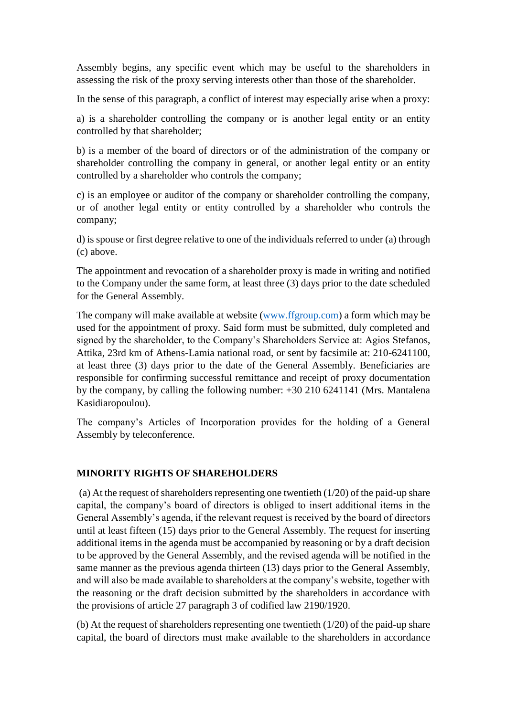Assembly begins, any specific event which may be useful to the shareholders in assessing the risk of the proxy serving interests other than those of the shareholder.

In the sense of this paragraph, a conflict of interest may especially arise when a proxy:

a) is a shareholder controlling the company or is another legal entity or an entity controlled by that shareholder;

b) is a member of the board of directors or of the administration of the company or shareholder controlling the company in general, or another legal entity or an entity controlled by a shareholder who controls the company;

c) is an employee or auditor of the company or shareholder controlling the company, or of another legal entity or entity controlled by a shareholder who controls the company;

d) is spouse or first degree relative to one of the individuals referred to under (a) through (c) above.

The appointment and revocation of a shareholder proxy is made in writing and notified to the Company under the same form, at least three (3) days prior to the date scheduled for the General Assembly.

The company will make available at website [\(www.ffgroup.com\)](http://www.ffgroup.com/) a form which may be used for the appointment of proxy. Said form must be submitted, duly completed and signed by the shareholder, to the Company's Shareholders Service at: Agios Stefanos, Attika, 23rd km of Athens-Lamia national road, or sent by facsimile at: 210-6241100, at least three (3) days prior to the date of the General Assembly. Beneficiaries are responsible for confirming successful remittance and receipt of proxy documentation by the company, by calling the following number: +30 210 6241141 (Mrs. Mantalena Kasidiaropoulou).

The company's Articles of Incorporation provides for the holding of a General Assembly by teleconference.

# **MINORITY RIGHTS OF SHAREHOLDERS**

(a) At the request of shareholders representing one twentieth (1/20) of the paid-up share capital, the company's board of directors is obliged to insert additional items in the General Assembly's agenda, if the relevant request is received by the board of directors until at least fifteen (15) days prior to the General Assembly. The request for inserting additional items in the agenda must be accompanied by reasoning or by a draft decision to be approved by the General Assembly, and the revised agenda will be notified in the same manner as the previous agenda thirteen (13) days prior to the General Assembly, and will also be made available to shareholders at the company's website, together with the reasoning or the draft decision submitted by the shareholders in accordance with the provisions of article 27 paragraph 3 of codified law 2190/1920.

(b) At the request of shareholders representing one twentieth (1/20) of the paid-up share capital, the board of directors must make available to the shareholders in accordance